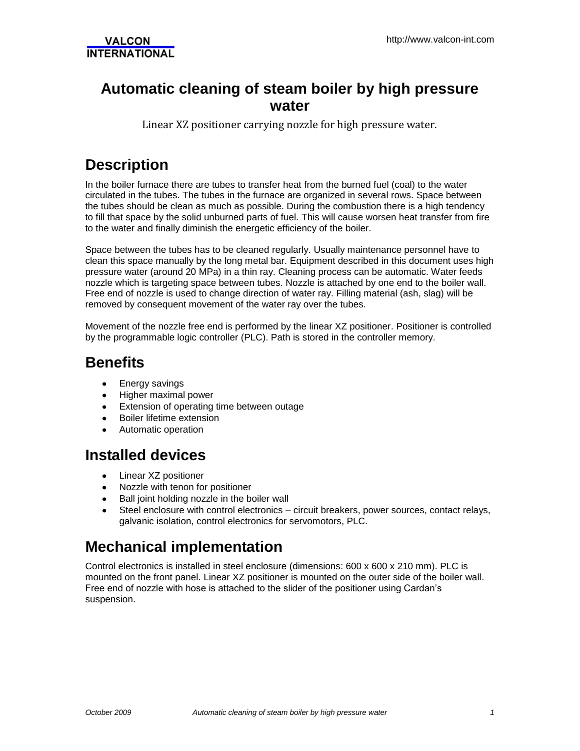### **Automatic cleaning of steam boiler by high pressure water**

Linear XZ positioner carrying nozzle for high pressure water.

# **Description**

In the boiler furnace there are tubes to transfer heat from the burned fuel (coal) to the water circulated in the tubes. The tubes in the furnace are organized in several rows. Space between the tubes should be clean as much as possible. During the combustion there is a high tendency to fill that space by the solid unburned parts of fuel. This will cause worsen heat transfer from fire to the water and finally diminish the energetic efficiency of the boiler.

Space between the tubes has to be cleaned regularly. Usually maintenance personnel have to clean this space manually by the long metal bar. Equipment described in this document uses high pressure water (around 20 MPa) in a thin ray. Cleaning process can be automatic. Water feeds nozzle which is targeting space between tubes. Nozzle is attached by one end to the boiler wall. Free end of nozzle is used to change direction of water ray. Filling material (ash, slag) will be removed by consequent movement of the water ray over the tubes.

Movement of the nozzle free end is performed by the linear XZ positioner. Positioner is controlled by the programmable logic controller (PLC). Path is stored in the controller memory.

## **Benefits**

- Energy savings
- $\bullet$ Higher maximal power
- **•** Extension of operating time between outage
- **•** Boiler lifetime extension
- Automatic operation

#### **Installed devices**

- Linear XZ positioner  $\bullet$
- Nozzle with tenon for positioner  $\bullet$
- Ball joint holding nozzle in the boiler wall
- Steel enclosure with control electronics circuit breakers, power sources, contact relays, galvanic isolation, control electronics for servomotors, PLC.

#### **Mechanical implementation**

Control electronics is installed in steel enclosure (dimensions: 600 x 600 x 210 mm). PLC is mounted on the front panel. Linear XZ positioner is mounted on the outer side of the boiler wall. Free end of nozzle with hose is attached to the slider of the positioner using Cardan's suspension.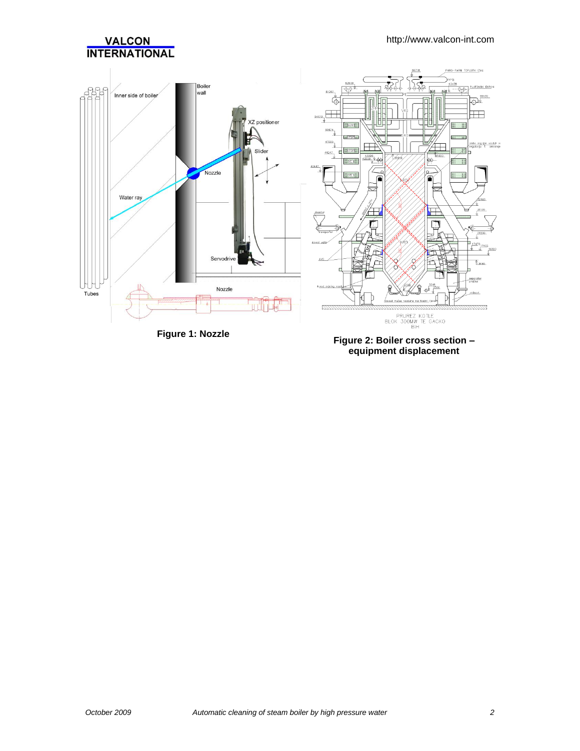

**Figure 1: Nozzle Figure 2: Boiler cross section – equipment displacement**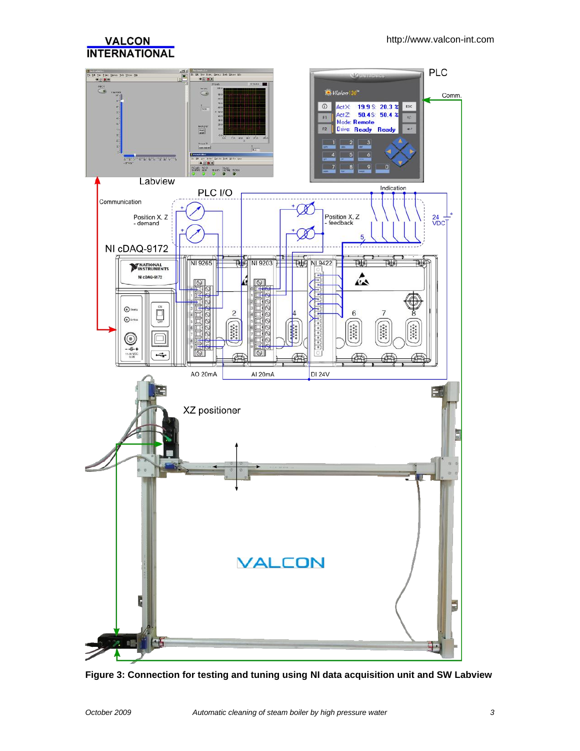

**Figure 3: Connection for testing and tuning using NI data acquisition unit and SW Labview**